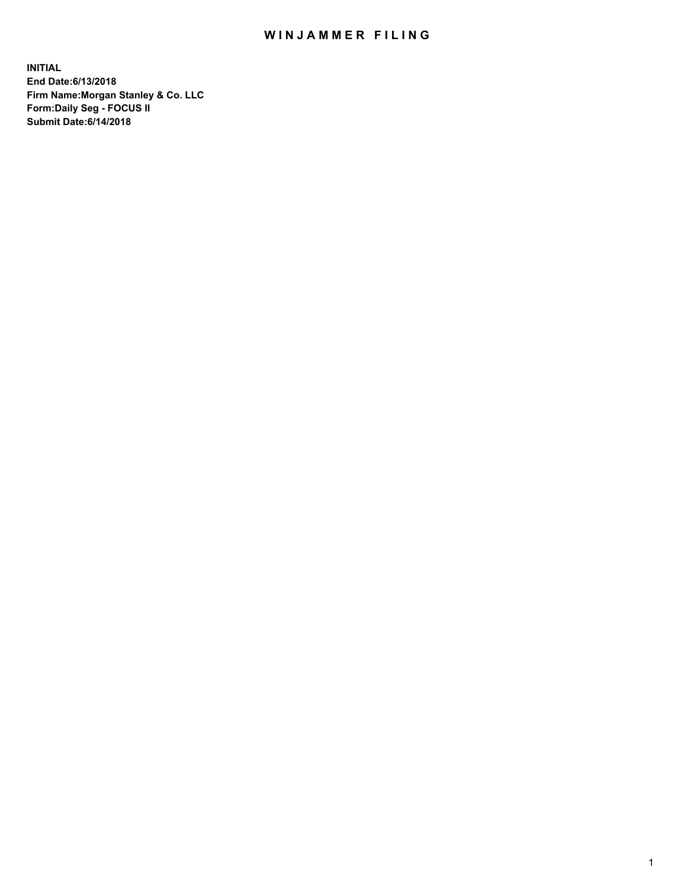## WIN JAMMER FILING

**INITIAL End Date:6/13/2018 Firm Name:Morgan Stanley & Co. LLC Form:Daily Seg - FOCUS II Submit Date:6/14/2018**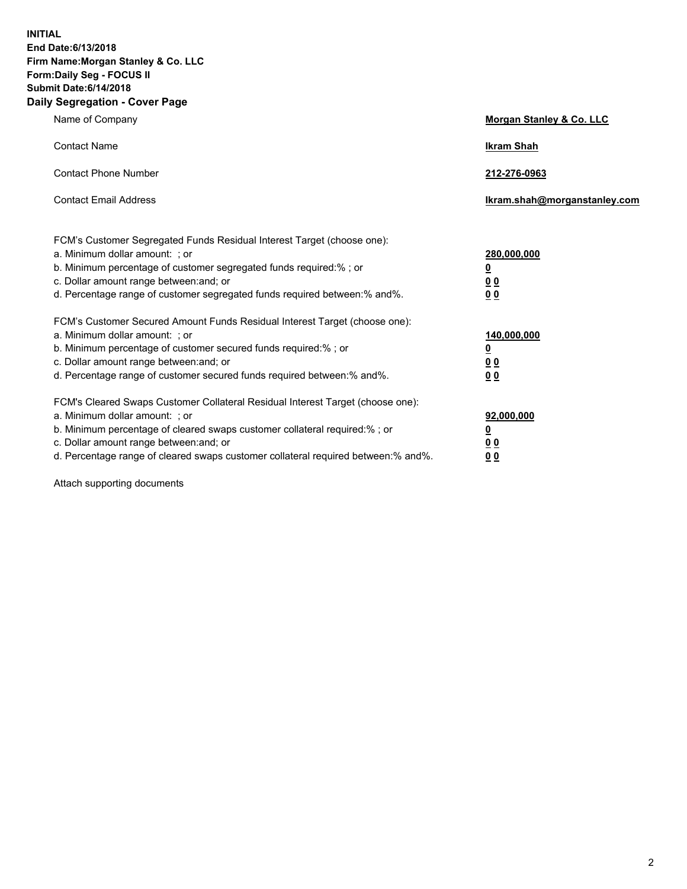**INITIAL End Date:6/13/2018 Firm Name:Morgan Stanley & Co. LLC Form:Daily Seg - FOCUS II Submit Date:6/14/2018 Daily Segregation - Cover Page**

| Name of Company                                                                                                                                                                                                                                                                                                                | Morgan Stanley & Co. LLC                               |
|--------------------------------------------------------------------------------------------------------------------------------------------------------------------------------------------------------------------------------------------------------------------------------------------------------------------------------|--------------------------------------------------------|
| <b>Contact Name</b>                                                                                                                                                                                                                                                                                                            | <b>Ikram Shah</b>                                      |
| <b>Contact Phone Number</b>                                                                                                                                                                                                                                                                                                    | 212-276-0963                                           |
| <b>Contact Email Address</b>                                                                                                                                                                                                                                                                                                   | lkram.shah@morganstanley.com                           |
| FCM's Customer Segregated Funds Residual Interest Target (choose one):<br>a. Minimum dollar amount: ; or<br>b. Minimum percentage of customer segregated funds required:% ; or<br>c. Dollar amount range between: and; or<br>d. Percentage range of customer segregated funds required between:% and%.                         | 280,000,000<br><u>0</u><br><u>0 0</u><br>0 Q           |
| FCM's Customer Secured Amount Funds Residual Interest Target (choose one):<br>a. Minimum dollar amount: ; or<br>b. Minimum percentage of customer secured funds required:%; or<br>c. Dollar amount range between: and; or<br>d. Percentage range of customer secured funds required between:% and%.                            | 140,000,000<br><u>0</u><br><u>00</u><br>0 <sub>0</sub> |
| FCM's Cleared Swaps Customer Collateral Residual Interest Target (choose one):<br>a. Minimum dollar amount: ; or<br>b. Minimum percentage of cleared swaps customer collateral required:% ; or<br>c. Dollar amount range between: and; or<br>d. Percentage range of cleared swaps customer collateral required between:% and%. | 92,000,000<br><u>0</u><br><u>00</u><br>0 <sup>0</sup>  |

Attach supporting documents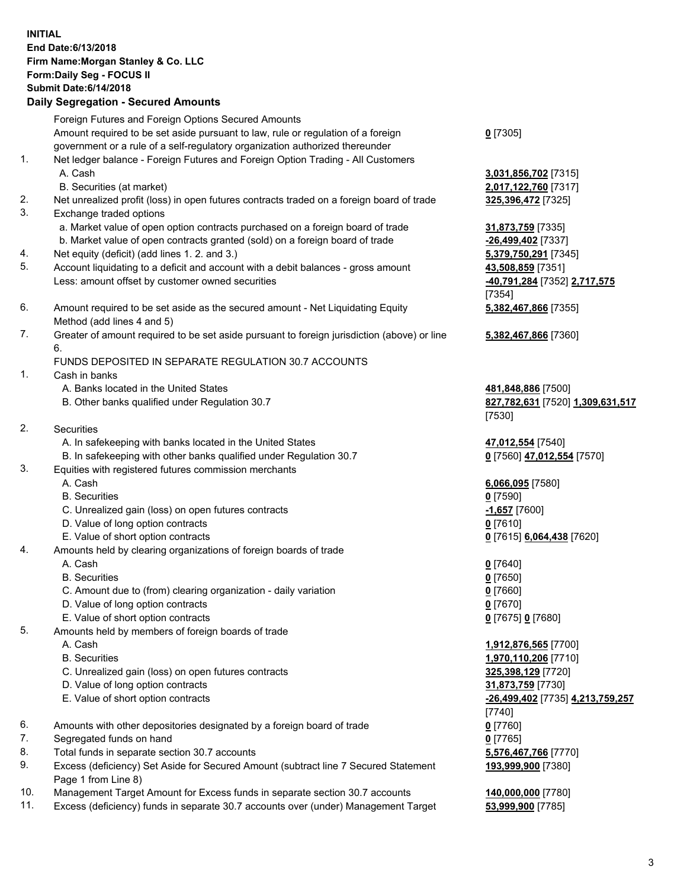## **INITIAL End Date:6/13/2018 Firm Name:Morgan Stanley & Co. LLC Form:Daily Seg - FOCUS II Submit Date:6/14/2018 Daily Segregation - Secured Amounts**

Foreign Futures and Foreign Options Secured Amounts Amount required to be set aside pursuant to law, rule or regulation of a foreign government or a rule of a self-regulatory organization authorized thereunder 1. Net ledger balance - Foreign Futures and Foreign Option Trading - All Customers A. Cash **3,031,856,702** [7315]

- B. Securities (at market) **2,017,122,760** [7317]
- 2. Net unrealized profit (loss) in open futures contracts traded on a foreign board of trade **325,396,472** [7325]
- 3. Exchange traded options
	- a. Market value of open option contracts purchased on a foreign board of trade **31,873,759** [7335]
	- b. Market value of open contracts granted (sold) on a foreign board of trade **-26,499,402** [7337]
- 4. Net equity (deficit) (add lines 1. 2. and 3.) **5,379,750,291** [7345]
- 5. Account liquidating to a deficit and account with a debit balances gross amount **43,508,859** [7351] Less: amount offset by customer owned securities **-40,791,284** [7352] **2,717,575**
- 6. Amount required to be set aside as the secured amount Net Liquidating Equity Method (add lines 4 and 5)
- 7. Greater of amount required to be set aside pursuant to foreign jurisdiction (above) or line 6.

## FUNDS DEPOSITED IN SEPARATE REGULATION 30.7 ACCOUNTS

- 1. Cash in banks
	- A. Banks located in the United States **481,848,886** [7500]
	- B. Other banks qualified under Regulation 30.7 **827,782,631** [7520] **1,309,631,517**
- 2. Securities
	- A. In safekeeping with banks located in the United States **47,012,554** [7540]
	- B. In safekeeping with other banks qualified under Regulation 30.7 **0** [7560] **47,012,554** [7570]
- 3. Equities with registered futures commission merchants
	-
	- B. Securities **0** [7590]
	- C. Unrealized gain (loss) on open futures contracts **-1,657** [7600]
	- D. Value of long option contracts **0** [7610]
- E. Value of short option contracts **0** [7615] **6,064,438** [7620]
- 4. Amounts held by clearing organizations of foreign boards of trade
	- A. Cash **0** [7640]
	- B. Securities **0** [7650]
	- C. Amount due to (from) clearing organization daily variation **0** [7660]
	- D. Value of long option contracts **0** [7670]
	- E. Value of short option contracts **0** [7675] **0** [7680]
- 5. Amounts held by members of foreign boards of trade
	-
	-
	- C. Unrealized gain (loss) on open futures contracts **325,398,129** [7720]
	- D. Value of long option contracts **31,873,759** [7730]
	- E. Value of short option contracts **-26,499,402** [7735] **4,213,759,257**
- 6. Amounts with other depositories designated by a foreign board of trade **0** [7760]
- 7. Segregated funds on hand **0** [7765]
- 8. Total funds in separate section 30.7 accounts **5,576,467,766** [7770]
- 9. Excess (deficiency) Set Aside for Secured Amount (subtract line 7 Secured Statement Page 1 from Line 8)
- 10. Management Target Amount for Excess funds in separate section 30.7 accounts **140,000,000** [7780]
- 11. Excess (deficiency) funds in separate 30.7 accounts over (under) Management Target **53,999,900** [7785]

**0** [7305]

[7354] **5,382,467,866** [7355]

**5,382,467,866** [7360]

[7530]

A. Cash **6,066,095** [7580]

 A. Cash **1,912,876,565** [7700] B. Securities **1,970,110,206** [7710] [7740] **193,999,900** [7380]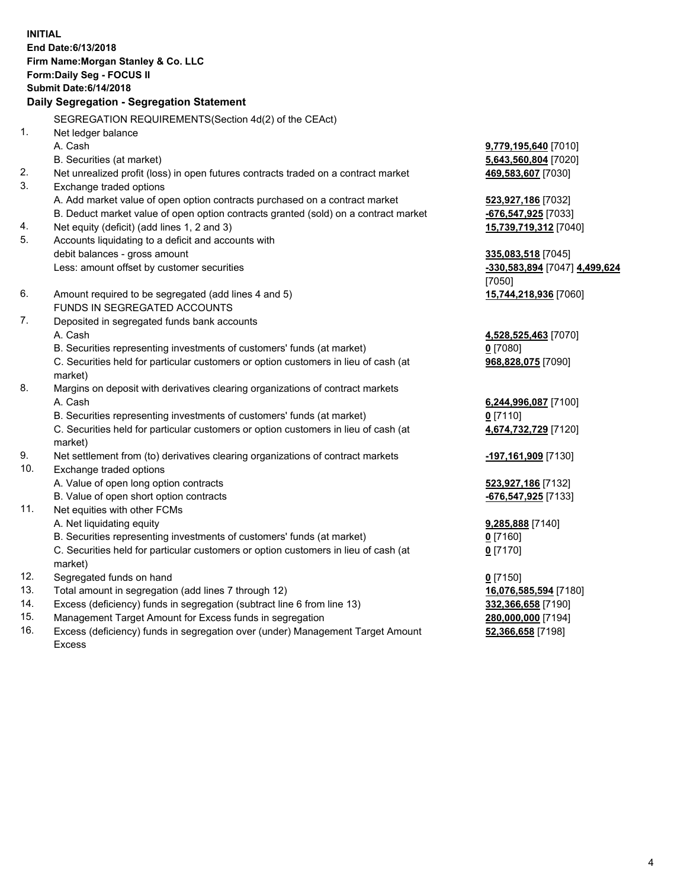**INITIAL End Date:6/13/2018 Firm Name:Morgan Stanley & Co. LLC Form:Daily Seg - FOCUS II Submit Date:6/14/2018 Daily Segregation - Segregation Statement** SEGREGATION REQUIREMENTS(Section 4d(2) of the CEAct) 1. Net ledger balance A. Cash **9,779,195,640** [7010] B. Securities (at market) **5,643,560,804** [7020] 2. Net unrealized profit (loss) in open futures contracts traded on a contract market **469,583,607** [7030] 3. Exchange traded options A. Add market value of open option contracts purchased on a contract market **523,927,186** [7032] B. Deduct market value of open option contracts granted (sold) on a contract market **-676,547,925** [7033] 4. Net equity (deficit) (add lines 1, 2 and 3) **15,739,719,312** [7040] 5. Accounts liquidating to a deficit and accounts with debit balances - gross amount **335,083,518** [7045] Less: amount offset by customer securities **-330,583,894** [7047] **4,499,624** [7050] 6. Amount required to be segregated (add lines 4 and 5) **15,744,218,936** [7060] FUNDS IN SEGREGATED ACCOUNTS 7. Deposited in segregated funds bank accounts A. Cash **4,528,525,463** [7070] B. Securities representing investments of customers' funds (at market) **0** [7080] C. Securities held for particular customers or option customers in lieu of cash (at market) **968,828,075** [7090] 8. Margins on deposit with derivatives clearing organizations of contract markets A. Cash **6,244,996,087** [7100] B. Securities representing investments of customers' funds (at market) **0** [7110] C. Securities held for particular customers or option customers in lieu of cash (at market) **4,674,732,729** [7120] 9. Net settlement from (to) derivatives clearing organizations of contract markets **-197,161,909** [7130] 10. Exchange traded options A. Value of open long option contracts **523,927,186** [7132] B. Value of open short option contracts **-676,547,925** [7133] 11. Net equities with other FCMs A. Net liquidating equity **9,285,888** [7140] B. Securities representing investments of customers' funds (at market) **0** [7160] C. Securities held for particular customers or option customers in lieu of cash (at market) **0** [7170] 12. Segregated funds on hand **0** [7150] 13. Total amount in segregation (add lines 7 through 12) **16,076,585,594** [7180] 14. Excess (deficiency) funds in segregation (subtract line 6 from line 13) **332,366,658** [7190]

- 15. Management Target Amount for Excess funds in segregation **280,000,000** [7194]
- 16. Excess (deficiency) funds in segregation over (under) Management Target Amount Excess

**52,366,658** [7198]